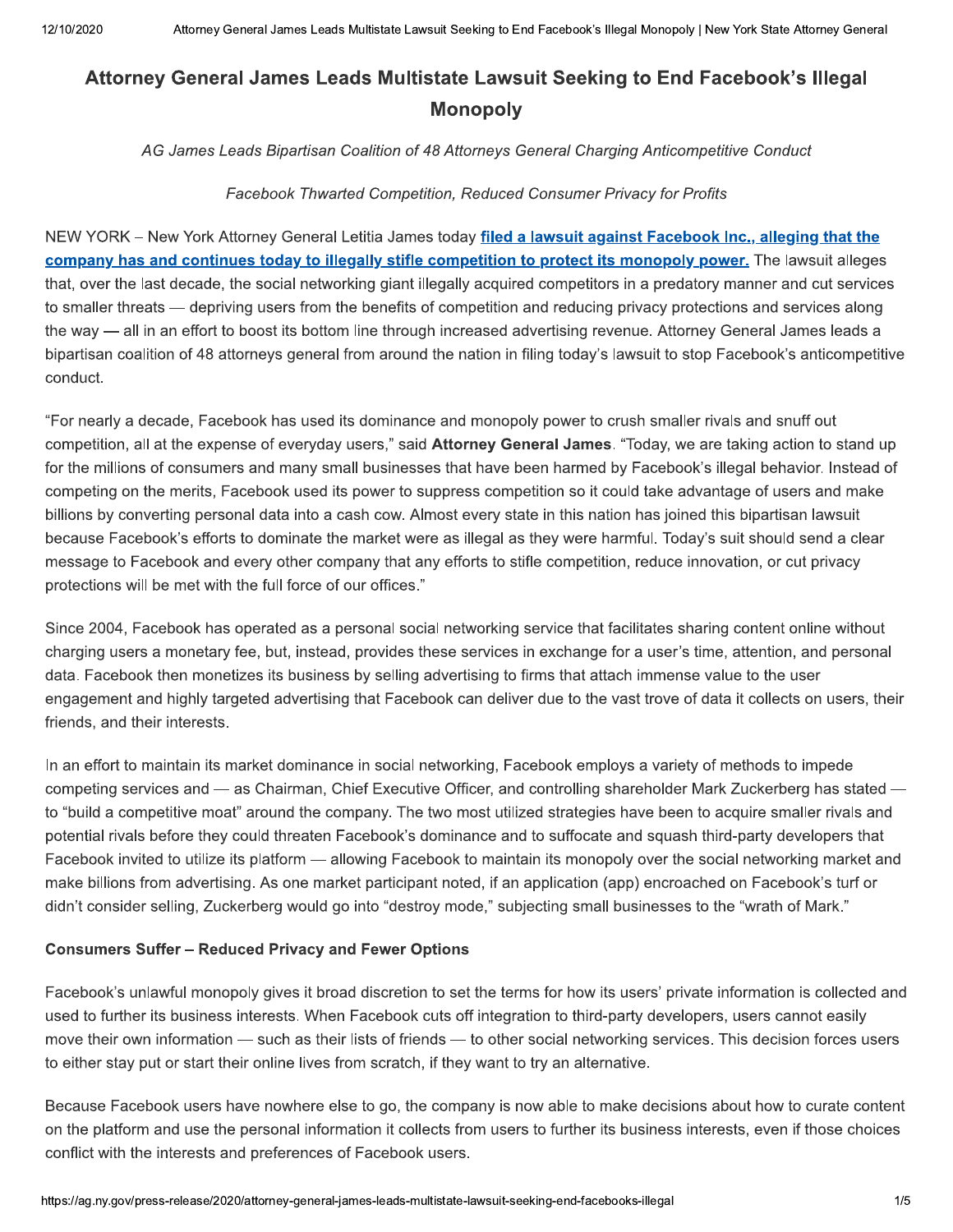# Attorney General James Leads Multistate Lawsuit Seeking to End Facebook's Illegal **Monopoly**

AG James Leads Bipartisan Coalition of 48 Attorneys General Charging Anticompetitive Conduct

#### Facebook Thwarted Competition, Reduced Consumer Privacy for Profits

NEW YORK - New York Attorney General Letitia James today filed a lawsuit against Facebook Inc., alleging that the company has and continues today to illegally stifle competition to protect its monopoly power. The lawsuit alleges that, over the last decade, the social networking giant illegally acquired competitors in a predatory manner and cut services to smaller threats — depriving users from the benefits of competition and reducing privacy protections and services along the way — all in an effort to boost its bottom line through increased advertising revenue. Attorney General James leads a bipartisan coalition of 48 attorneys general from around the nation in filing today's lawsuit to stop Facebook's anticompetitive conduct.

"For nearly a decade, Facebook has used its dominance and monopoly power to crush smaller rivals and snuff out competition, all at the expense of everyday users," said Attorney General James. "Today, we are taking action to stand up for the millions of consumers and many small businesses that have been harmed by Facebook's illegal behavior. Instead of competing on the merits, Facebook used its power to suppress competition so it could take advantage of users and make billions by converting personal data into a cash cow. Almost every state in this nation has joined this bipartisan lawsuit because Facebook's efforts to dominate the market were as illegal as they were harmful. Today's suit should send a clear message to Facebook and every other company that any efforts to stifle competition, reduce innovation, or cut privacy protections will be met with the full force of our offices."

Since 2004. Facebook has operated as a personal social networking service that facilitates sharing content online without charging users a monetary fee, but, instead, provides these services in exchange for a user's time, attention, and personal data. Facebook then monetizes its business by selling advertising to firms that attach immense value to the user engagement and highly targeted advertising that Facebook can deliver due to the vast trove of data it collects on users, their friends, and their interests.

In an effort to maintain its market dominance in social networking, Facebook employs a variety of methods to impede competing services and — as Chairman, Chief Executive Officer, and controlling shareholder Mark Zuckerberg has stated to "build a competitive moat" around the company. The two most utilized strategies have been to acquire smaller rivals and potential rivals before they could threaten Facebook's dominance and to suffocate and squash third-party developers that Facebook invited to utilize its platform — allowing Facebook to maintain its monopoly over the social networking market and make billions from advertising. As one market participant noted, if an application (app) encroached on Facebook's turf or didn't consider selling, Zuckerberg would go into "destroy mode," subjecting small businesses to the "wrath of Mark."

#### **Consumers Suffer - Reduced Privacy and Fewer Options**

Facebook's unlawful monopoly gives it broad discretion to set the terms for how its users' private information is collected and used to further its business interests. When Facebook cuts off integration to third-party developers, users cannot easily move their own information — such as their lists of friends — to other social networking services. This decision forces users to either stay put or start their online lives from scratch, if they want to try an alternative.

Because Facebook users have nowhere else to go, the company is now able to make decisions about how to curate content on the platform and use the personal information it collects from users to further its business interests, even if those choices conflict with the interests and preferences of Facebook users.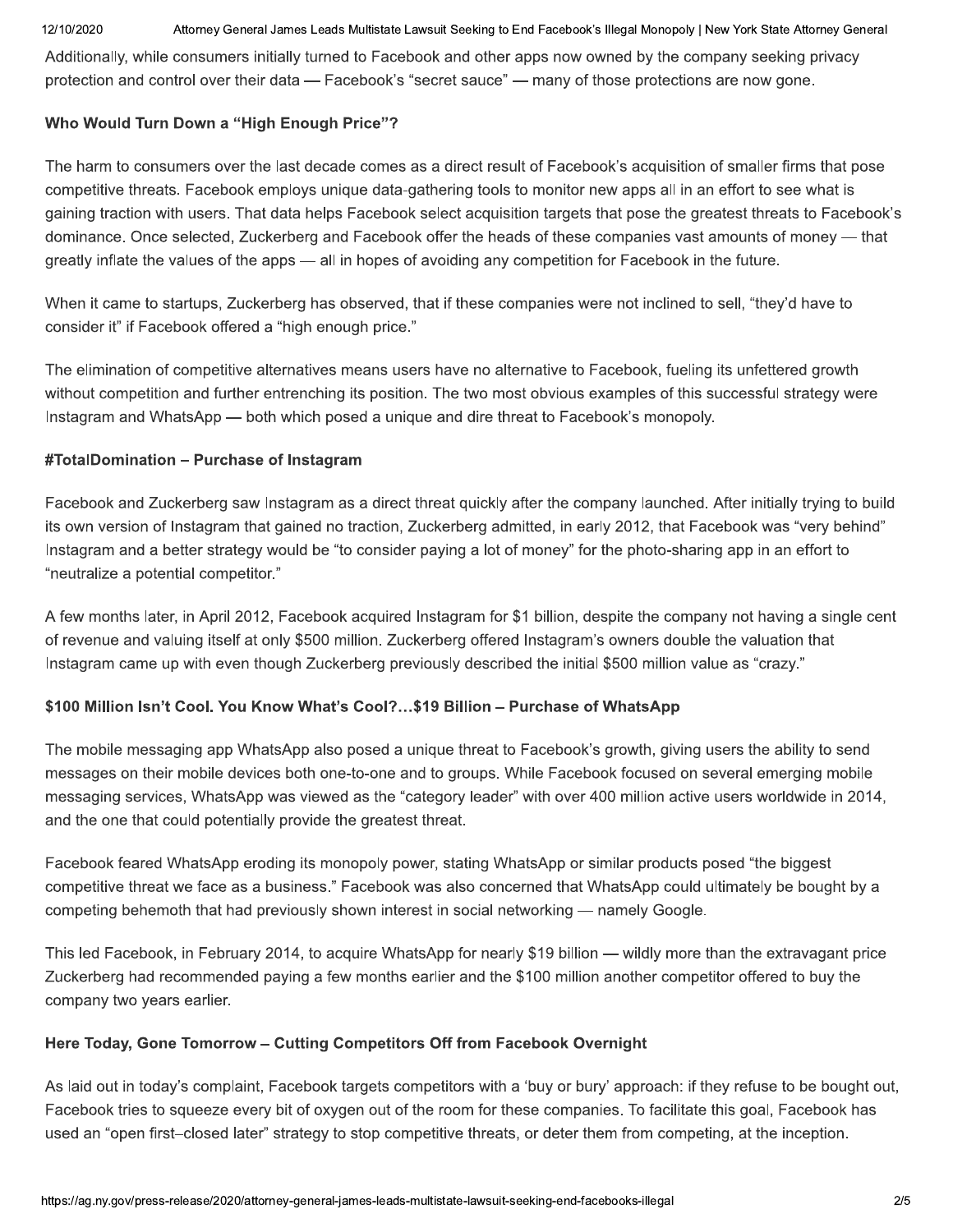Attorney General James Leads Multistate Lawsuit Seeking to End Facebook's Illegal Monopoly | New York State Attorney General

Additionally, while consumers initially turned to Facebook and other apps now owned by the company seeking privacy protection and control over their data — Facebook's "secret sauce" — many of those protections are now gone.

## Who Would Turn Down a "High Enough Price"?

The harm to consumers over the last decade comes as a direct result of Facebook's acquisition of smaller firms that pose competitive threats. Facebook employs unique data-gathering tools to monitor new apps all in an effort to see what is gaining traction with users. That data helps Facebook select acquisition targets that pose the greatest threats to Facebook's dominance. Once selected, Zuckerberg and Facebook offer the heads of these companies vast amounts of money - that greatly inflate the values of the apps — all in hopes of avoiding any competition for Facebook in the future.

When it came to startups, Zuckerberg has observed, that if these companies were not inclined to sell, "they'd have to consider it" if Facebook offered a "high enough price."

The elimination of competitive alternatives means users have no alternative to Facebook, fueling its unfettered growth without competition and further entrenching its position. The two most obvious examples of this successful strategy were Instagram and WhatsApp — both which posed a unique and dire threat to Facebook's monopoly.

#### #TotalDomination - Purchase of Instagram

Facebook and Zuckerberg saw Instagram as a direct threat quickly after the company launched. After initially trying to build its own version of Instagram that gained no traction, Zuckerberg admitted, in early 2012, that Facebook was "very behind" Instagram and a better strategy would be "to consider paying a lot of money" for the photo-sharing app in an effort to "neutralize a potential competitor."

A few months later, in April 2012, Facebook acquired Instagram for \$1 billion, despite the company not having a single cent of revenue and valuing itself at only \$500 million. Zuckerberg offered Instagram's owners double the valuation that Instagram came up with even though Zuckerberg previously described the initial \$500 million value as "crazy."

## \$100 Million Isn't Cool. You Know What's Cool?...\$19 Billion - Purchase of WhatsApp

The mobile messaging app WhatsApp also posed a unique threat to Facebook's growth, giving users the ability to send messages on their mobile devices both one-to-one and to groups. While Facebook focused on several emerging mobile messaging services, WhatsApp was viewed as the "category leader" with over 400 million active users worldwide in 2014, and the one that could potentially provide the greatest threat.

Facebook feared WhatsApp eroding its monopoly power, stating WhatsApp or similar products posed "the biggest competitive threat we face as a business." Facebook was also concerned that WhatsApp could ultimately be bought by a competing behemoth that had previously shown interest in social networking — namely Google.

This led Facebook, in February 2014, to acquire WhatsApp for nearly \$19 billion — wildly more than the extravagant price Zuckerberg had recommended paying a few months earlier and the \$100 million another competitor offered to buy the company two years earlier.

## Here Today, Gone Tomorrow - Cutting Competitors Off from Facebook Overnight

As laid out in today's complaint, Facebook targets competitors with a 'buy or bury' approach: if they refuse to be bought out, Facebook tries to squeeze every bit of oxygen out of the room for these companies. To facilitate this goal, Facebook has used an "open first-closed later" strategy to stop competitive threats, or deter them from competing, at the inception.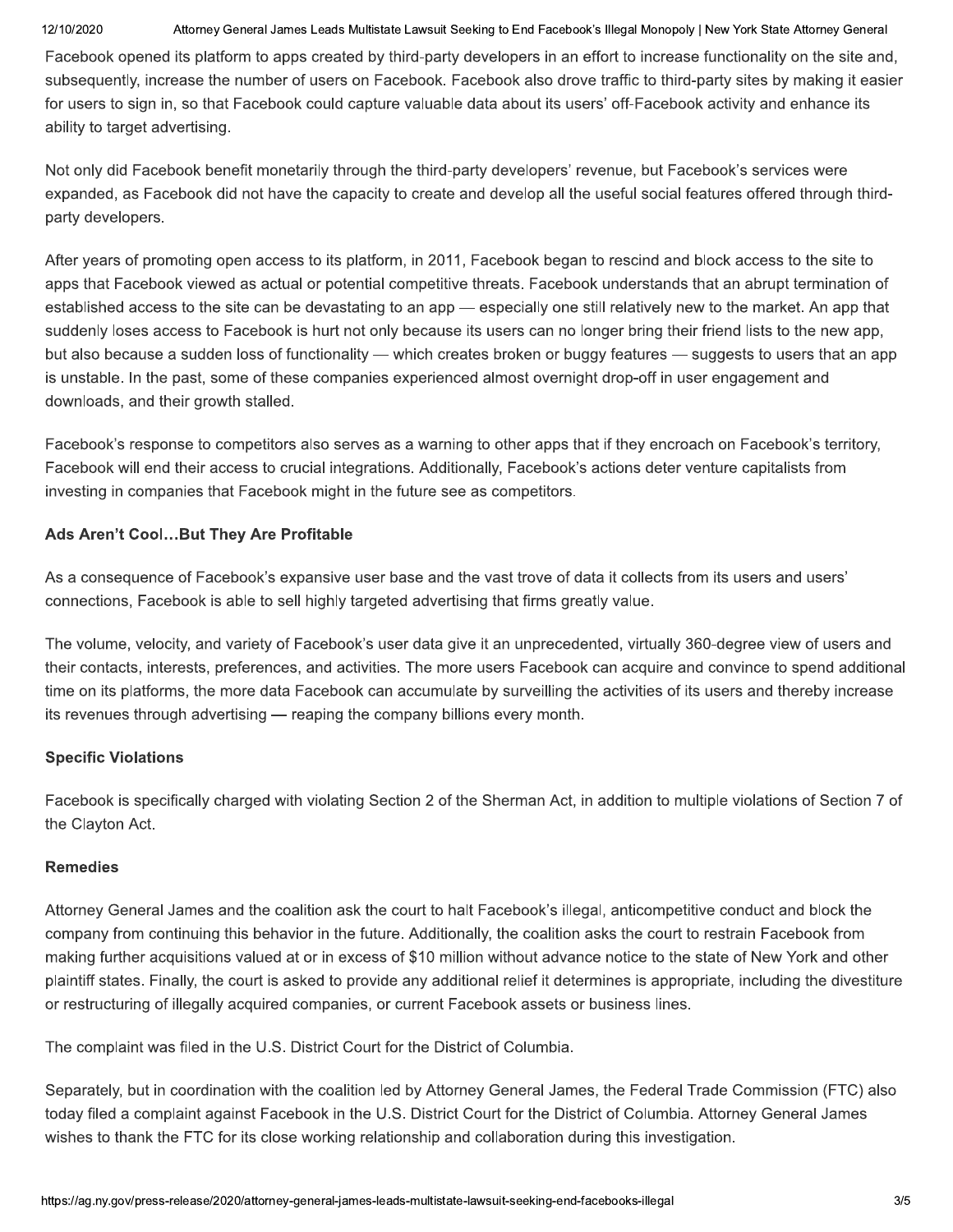Attorney General James Leads Multistate Lawsuit Seeking to End Facebook's Illegal Monopoly | New York State Attorney General

Facebook opened its platform to apps created by third-party developers in an effort to increase functionality on the site and, subsequently, increase the number of users on Facebook. Facebook also drove traffic to third-party sites by making it easier for users to sign in, so that Facebook could capture valuable data about its users' off-Facebook activity and enhance its ability to target advertising.

Not only did Facebook benefit monetarily through the third-party developers' revenue, but Facebook's services were expanded, as Facebook did not have the capacity to create and develop all the useful social features offered through thirdparty developers.

After years of promoting open access to its platform, in 2011, Facebook began to rescind and block access to the site to apps that Facebook viewed as actual or potential competitive threats. Facebook understands that an abrupt termination of established access to the site can be devastating to an app — especially one still relatively new to the market. An app that suddenly loses access to Facebook is hurt not only because its users can no longer bring their friend lists to the new app, but also because a sudden loss of functionality — which creates broken or buggy features — suggests to users that an app is unstable. In the past, some of these companies experienced almost overnight drop-off in user engagement and downloads, and their growth stalled.

Facebook's response to competitors also serves as a warning to other apps that if they encroach on Facebook's territory, Facebook will end their access to crucial integrations. Additionally, Facebook's actions deter venture capitalists from investing in companies that Facebook might in the future see as competitors.

## Ads Aren't Cool...But They Are Profitable

As a consequence of Facebook's expansive user base and the vast trove of data it collects from its users and users' connections. Facebook is able to sell highly targeted advertising that firms greatly value.

The volume, velocity, and variety of Facebook's user data give it an unprecedented, virtually 360-degree view of users and their contacts, interests, preferences, and activities. The more users Facebook can acquire and convince to spend additional time on its platforms, the more data Facebook can accumulate by surveilling the activities of its users and thereby increase its revenues through advertising — reaping the company billions every month.

## **Specific Violations**

Facebook is specifically charged with violating Section 2 of the Sherman Act, in addition to multiple violations of Section 7 of the Clayton Act.

## **Remedies**

Attorney General James and the coalition ask the court to halt Facebook's illegal, anticompetitive conduct and block the company from continuing this behavior in the future. Additionally, the coalition asks the court to restrain Facebook from making further acquisitions valued at or in excess of \$10 million without advance notice to the state of New York and other plaintiff states. Finally, the court is asked to provide any additional relief it determines is appropriate, including the divestiture or restructuring of illegally acquired companies, or current Facebook assets or business lines.

The complaint was filed in the U.S. District Court for the District of Columbia.

Separately, but in coordination with the coalition led by Attorney General James, the Federal Trade Commission (FTC) also today filed a complaint against Facebook in the U.S. District Court for the District of Columbia. Attorney General James wishes to thank the FTC for its close working relationship and collaboration during this investigation.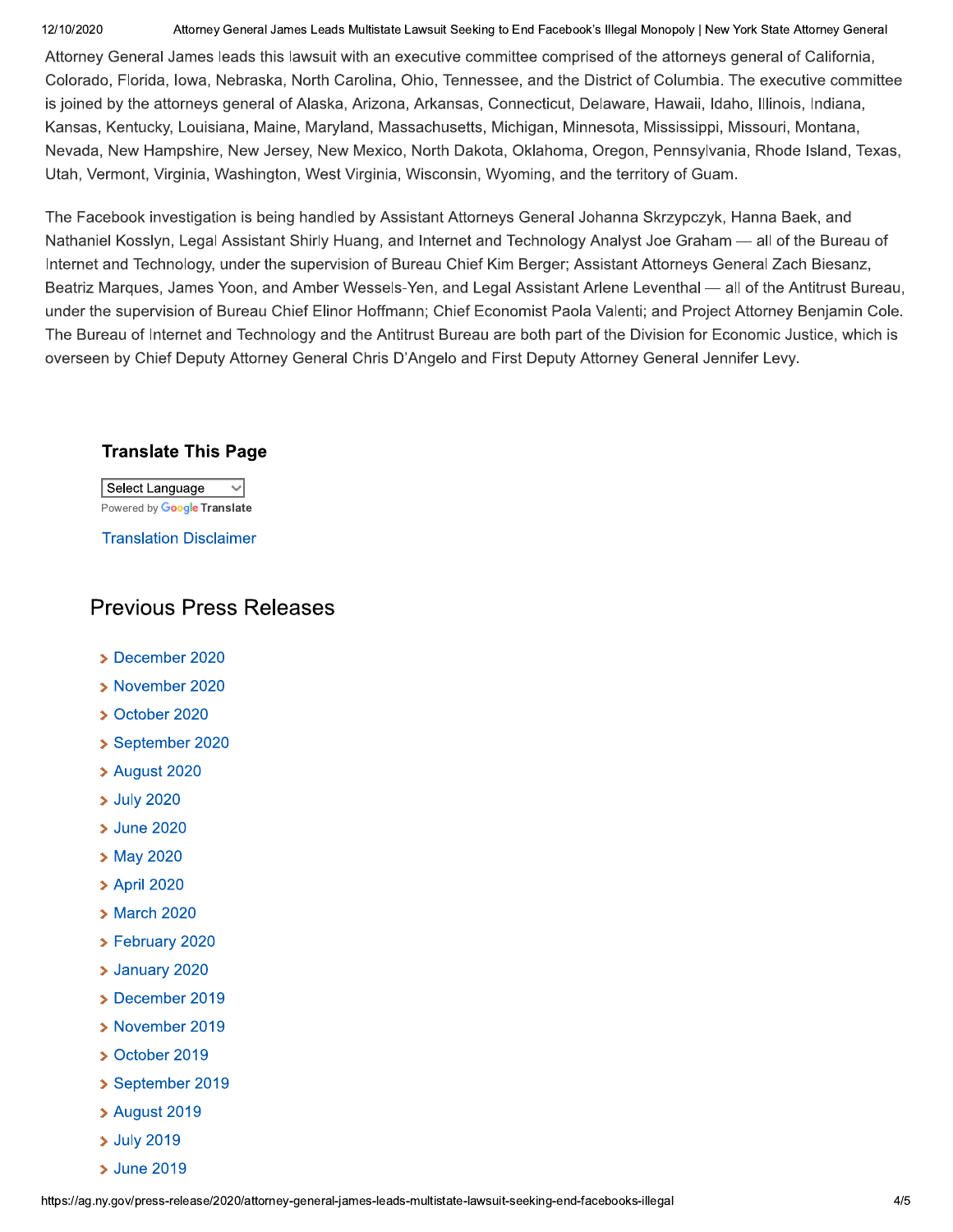Attorney General James Leads Multistate Lawsuit Seeking to End Facebook's Illegal Monopoly | New York State Attorney General

Attorney General James leads this lawsuit with an executive committee comprised of the attorneys general of California, Colorado, Florida, Iowa, Nebraska, North Carolina, Ohio, Tennessee, and the District of Columbia. The executive committee is joined by the attorneys general of Alaska, Arizona, Arkansas, Connecticut, Delaware, Hawaii, Idaho, Illinois, Indiana, Kansas, Kentucky, Louisiana, Maine, Maryland, Massachusetts, Michigan, Minnesota, Mississippi, Missouri, Montana, Nevada, New Hampshire, New Jersey, New Mexico, North Dakota, Oklahoma, Oregon, Pennsylvania, Rhode Island, Texas, Utah, Vermont, Virginia, Washington, West Virginia, Wisconsin, Wyoming, and the territory of Guam.

The Facebook investigation is being handled by Assistant Attorneys General Johanna Skrzypczyk, Hanna Baek, and Nathaniel Kosslyn, Legal Assistant Shirly Huang, and Internet and Technology Analyst Joe Graham — all of the Bureau of Internet and Technology, under the supervision of Bureau Chief Kim Berger; Assistant Attorneys General Zach Biesanz, Beatriz Marques, James Yoon, and Amber Wessels-Yen, and Legal Assistant Arlene Leventhal — all of the Antitrust Bureau, under the supervision of Bureau Chief Elinor Hoffmann; Chief Economist Paola Valenti; and Project Attorney Benjamin Cole. The Bureau of Internet and Technology and the Antitrust Bureau are both part of the Division for Economic Justice, which is overseen by Chief Deputy Attorney General Chris D'Angelo and First Deputy Attorney General Jennifer Levy.

## **Translate This Page**

Select Language  $\sim$ Powered by Google Translate

**Translation Disclaimer** 

# **Previous Press Releases**

- > December 2020
- > November 2020
- > October 2020
- September 2020
- > August 2020
- > July 2020
- **> June 2020**
- > May 2020
- > April 2020
- > March 2020
- > February 2020
- > January 2020
- > December 2019
- > November 2019
- > October 2019
- September 2019
- > August 2019
- > July 2019
- > June 2019